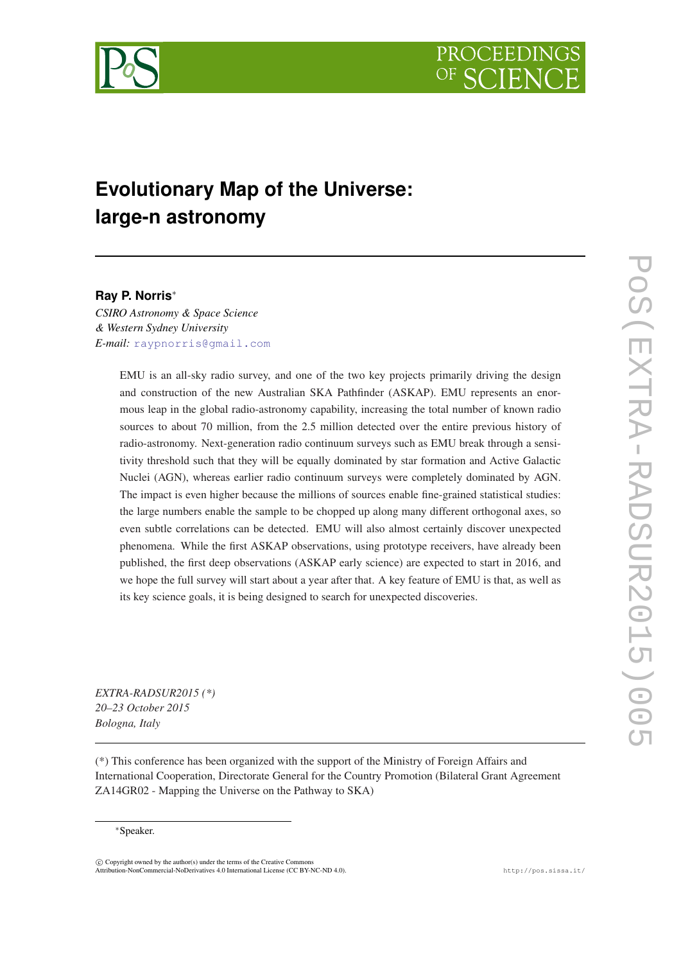

<span id="page-0-0"></span>

# **Evolutionary Map of the Universe: large-n astronomy**

# **Ray P. Norris**<sup>∗</sup>

*CSIRO Astronomy & Space Science & Western Sydney University E-mail:* [raypnorris@gmail.com](mailto:raypnorris@gmail.com)

> EMU is an all-sky radio survey, and one of the two key projects primarily driving the design and construction of the new Australian SKA Pathfinder (ASKAP). EMU represents an enormous leap in the global radio-astronomy capability, increasing the total number of known radio sources to about 70 million, from the 2.5 million detected over the entire previous history of radio-astronomy. Next-generation radio continuum surveys such as EMU break through a sensitivity threshold such that they will be equally dominated by star formation and Active Galactic Nuclei (AGN), whereas earlier radio continuum surveys were completely dominated by AGN. The impact is even higher because the millions of sources enable fine-grained statistical studies: the large numbers enable the sample to be chopped up along many different orthogonal axes, so even subtle correlations can be detected. EMU will also almost certainly discover unexpected phenomena. While the first ASKAP observations, using prototype receivers, have already been published, the first deep observations (ASKAP early science) are expected to start in 2016, and we hope the full survey will start about a year after that. A key feature of EMU is that, as well as its key science goals, it is being designed to search for unexpected discoveries.

*EXTRA-RADSUR2015 (\*) 20–23 October 2015 Bologna, Italy*

(\*) This conference has been organized with the support of the Ministry of Foreign Affairs and International Cooperation, Directorate General for the Country Promotion (Bilateral Grant Agreement ZA14GR02 - Mapping the Universe on the Pathway to SKA)

<sup>∗</sup>Speaker.

 $\overline{c}$  Copyright owned by the author(s) under the terms of the Creative Commons Attribution-NonCommercial-NoDerivatives 4.0 International License (CC BY-NC-ND 4.0). http://pos.sissa.it/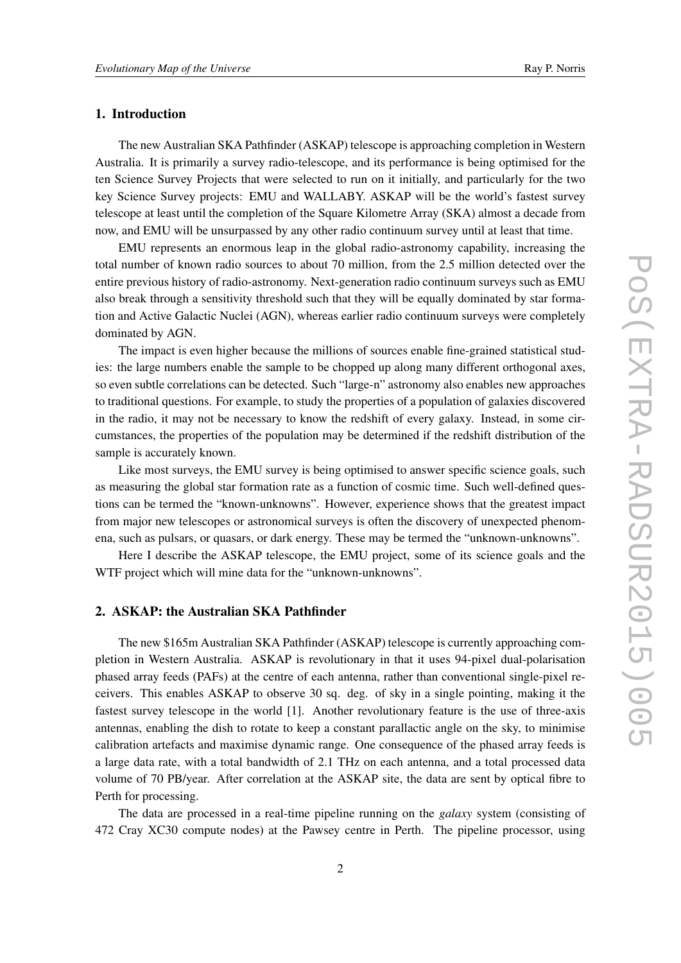# 1. Introduction

The new Australian SKA Pathfinder (ASKAP) telescope is approaching completion in Western Australia. It is primarily a survey radio-telescope, and its performance is being optimised for the ten Science Survey Projects that were selected to run on it initially, and particularly for the two key Science Survey projects: EMU and WALLABY. ASKAP will be the world's fastest survey telescope at least until the completion of the Square Kilometre Array (SKA) almost a decade from now, and EMU will be unsurpassed by any other radio continuum survey until at least that time.

EMU represents an enormous leap in the global radio-astronomy capability, increasing the total number of known radio sources to about 70 million, from the 2.5 million detected over the entire previous history of radio-astronomy. Next-generation radio continuum surveys such as EMU also break through a sensitivity threshold such that they will be equally dominated by star formation and Active Galactic Nuclei (AGN), whereas earlier radio continuum surveys were completely dominated by AGN.

The impact is even higher because the millions of sources enable fine-grained statistical studies: the large numbers enable the sample to be chopped up along many different orthogonal axes, so even subtle correlations can be detected. Such "large-n" astronomy also enables new approaches to traditional questions. For example, to study the properties of a population of galaxies discovered in the radio, it may not be necessary to know the redshift of every galaxy. Instead, in some circumstances, the properties of the population may be determined if the redshift distribution of the sample is accurately known.

Like most surveys, the EMU survey is being optimised to answer specific science goals, such as measuring the global star formation rate as a function of cosmic time. Such well-defined questions can be termed the "known-unknowns". However, experience shows that the greatest impact from major new telescopes or astronomical surveys is often the discovery of unexpected phenomena, such as pulsars, or quasars, or dark energy. These may be termed the "unknown-unknowns".

Here I describe the ASKAP telescope, the EMU project, some of its science goals and the WTF project which will mine data for the "unknown-unknowns".

## 2. ASKAP: the Australian SKA Pathfinder

The new \$165m Australian SKA Pathfinder (ASKAP) telescope is currently approaching completion in Western Australia. ASKAP is revolutionary in that it uses 94-pixel dual-polarisation phased array feeds (PAFs) at the centre of each antenna, rather than conventional single-pixel receivers. This enables ASKAP to observe 30 sq. deg. of sky in a single pointing, making it the fastest survey telescope in the world [1]. Another revolutionary feature is the use of three-axis antennas, enabling the dish to rotate to keep a constant parallactic angle on the sky, to minimise calibration artefacts and maximise dynamic range. One consequence of the phased array feeds is a large data rate, with a total bandwidth of 2.1 THz on each antenna, and a total processed data volume of 70 PB/year. After correlation at the ASKAP site, the data are sent by optical fibre to Perth for processing.

The data are processed in a real-time pipeline running on the *galaxy* system (consisting of 472 Cray XC30 compute nodes) at the Pawsey centre in Perth. The pipeline processor, using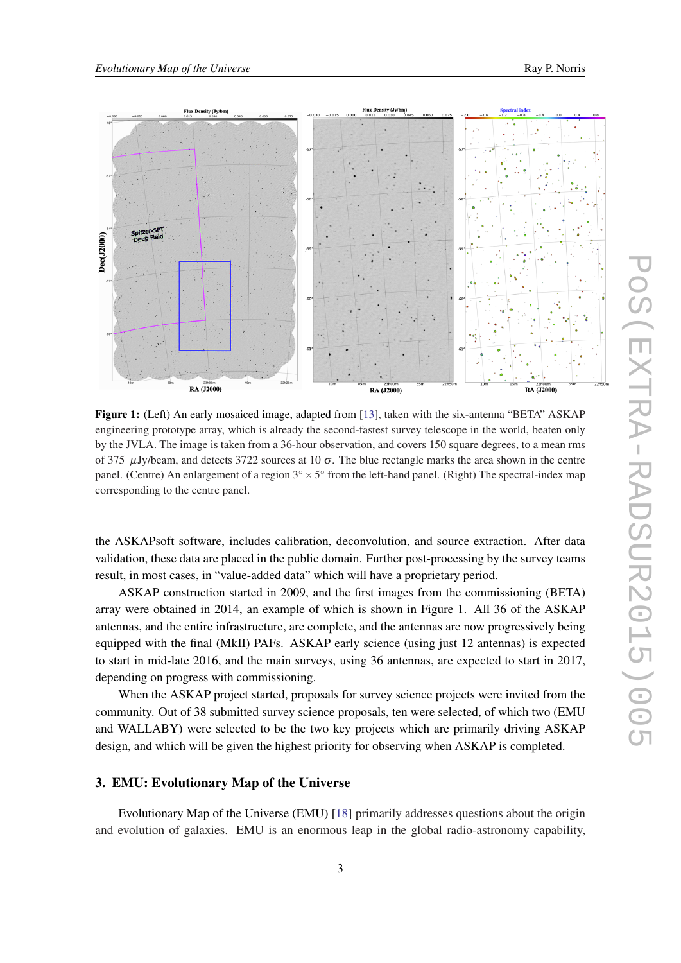

Figure 1: (Left) An early mosaiced image, adapted from [[13\]](#page-0-0), taken with the six-antenna "BETA" ASKAP engineering prototype array, which is already the second-fastest survey telescope in the world, beaten only by the JVLA. The image is taken from a 36-hour observation, and covers 150 square degrees, to a mean rms of 375  $\mu$ Jy/beam, and detects 3722 sources at 10 σ. The blue rectangle marks the area shown in the centre panel. (Centre) An enlargement of a region  $3^\circ \times 5^\circ$  from the left-hand panel. (Right) The spectral-index map corresponding to the centre panel.

the ASKAPsoft software, includes calibration, deconvolution, and source extraction. After data validation, these data are placed in the public domain. Further post-processing by the survey teams result, in most cases, in "value-added data" which will have a proprietary period.

ASKAP construction started in 2009, and the first images from the commissioning (BETA) array were obtained in 2014, an example of which is shown in Figure 1. All 36 of the ASKAP antennas, and the entire infrastructure, are complete, and the antennas are now progressively being equipped with the final (MkII) PAFs. ASKAP early science (using just 12 antennas) is expected to start in mid-late 2016, and the main surveys, using 36 antennas, are expected to start in 2017, depending on progress with commissioning.

When the ASKAP project started, proposals for survey science projects were invited from the community. Out of 38 submitted survey science proposals, ten were selected, of which two (EMU and WALLABY) were selected to be the two key projects which are primarily driving ASKAP design, and which will be given the highest priority for observing when ASKAP is completed.

## 3. EMU: Evolutionary Map of the Universe

Evolutionary Map of the Universe (EMU) [[18](#page-0-0)] primarily addresses questions about the origin and evolution of galaxies. EMU is an enormous leap in the global radio-astronomy capability,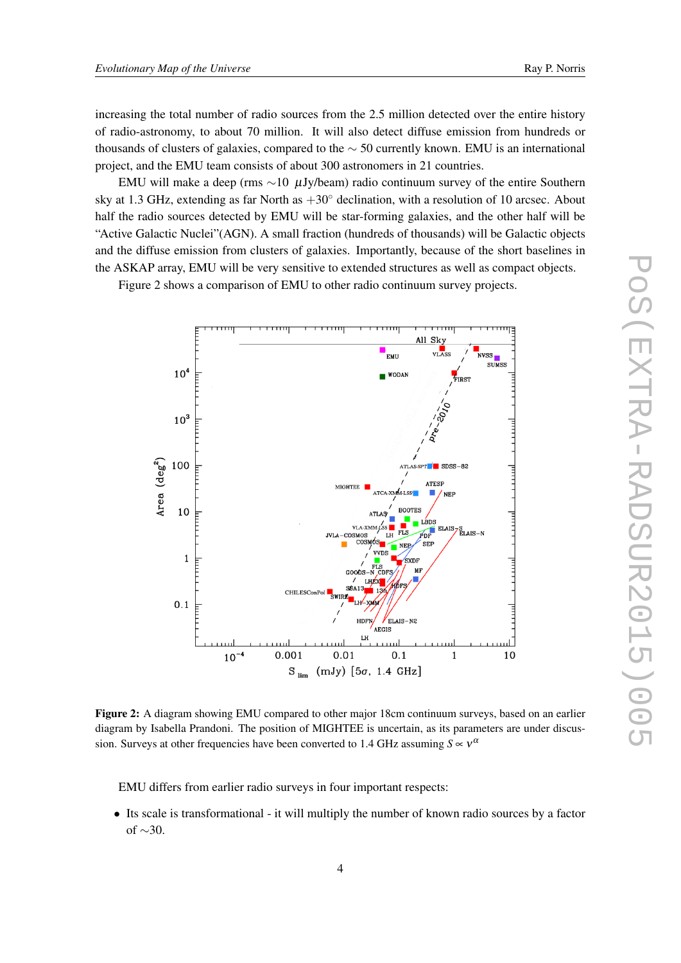increasing the total number of radio sources from the 2.5 million detected over the entire history of radio-astronomy, to about 70 million. It will also detect diffuse emission from hundreds or thousands of clusters of galaxies, compared to the  $\sim$  50 currently known. EMU is an international project, and the EMU team consists of about 300 astronomers in 21 countries.

EMU will make a deep (rms ∼10 µJy/beam) radio continuum survey of the entire Southern sky at 1.3 GHz, extending as far North as  $+30^\circ$  declination, with a resolution of 10 arcsec. About half the radio sources detected by EMU will be star-forming galaxies, and the other half will be "Active Galactic Nuclei"(AGN). A small fraction (hundreds of thousands) will be Galactic objects and the diffuse emission from clusters of galaxies. Importantly, because of the short baselines in the ASKAP array, EMU will be very sensitive to extended structures as well as compact objects.

Figure 2 shows a comparison of EMU to other radio continuum survey projects.



Figure 2: A diagram showing EMU compared to other major 18cm continuum surveys, based on an earlier diagram by Isabella Prandoni. The position of MIGHTEE is uncertain, as its parameters are under discussion. Surveys at other frequencies have been converted to 1.4 GHz assuming  $S \propto v^{\alpha}$ 

EMU differs from earlier radio surveys in four important respects:

• Its scale is transformational - it will multiply the number of known radio sources by a factor of ∼30.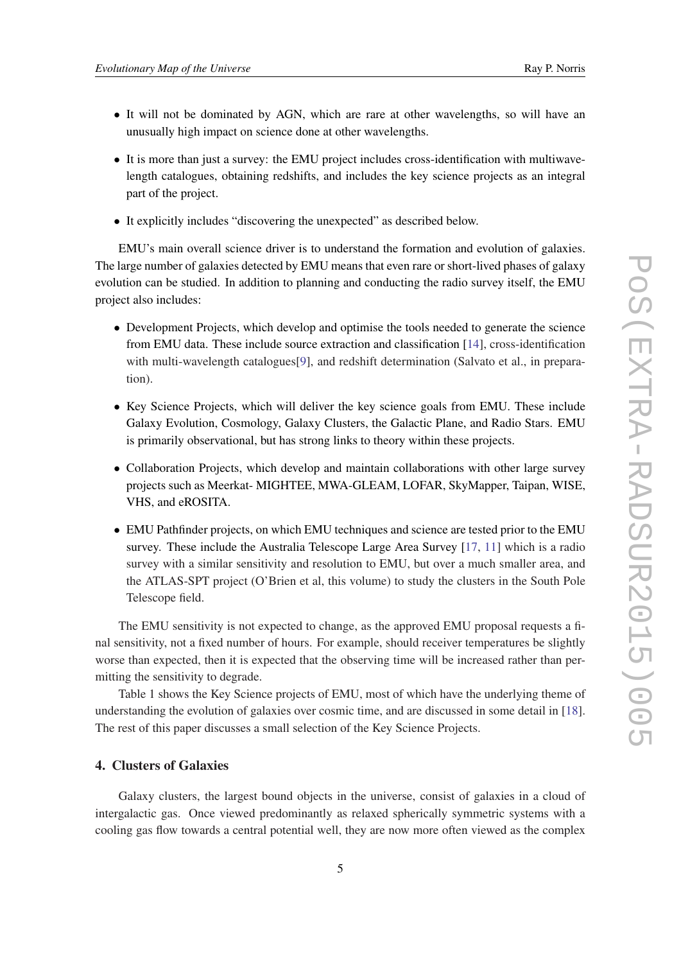- It will not be dominated by AGN, which are rare at other wavelengths, so will have an unusually high impact on science done at other wavelengths.
- It is more than just a survey: the EMU project includes cross-identification with multiwavelength catalogues, obtaining redshifts, and includes the key science projects as an integral part of the project.
- It explicitly includes "discovering the unexpected" as described below.

EMU's main overall science driver is to understand the formation and evolution of galaxies. The large number of galaxies detected by EMU means that even rare or short-lived phases of galaxy evolution can be studied. In addition to planning and conducting the radio survey itself, the EMU project also includes:

- Development Projects, which develop and optimise the tools needed to generate the science from EMU data. These include source extraction and classification [\[14](#page-0-0)], cross-identification with multi-wavelength catalogues<sup>[\[9\]](#page-0-0)</sup>, and redshift determination (Salvato et al., in preparation).
- Key Science Projects, which will deliver the key science goals from EMU. These include Galaxy Evolution, Cosmology, Galaxy Clusters, the Galactic Plane, and Radio Stars. EMU is primarily observational, but has strong links to theory within these projects.
- Collaboration Projects, which develop and maintain collaborations with other large survey projects such as Meerkat- MIGHTEE, MWA-GLEAM, LOFAR, SkyMapper, Taipan, WISE, VHS, and eROSITA.
- EMU Pathfinder projects, on which EMU techniques and science are tested prior to the EMU survey. These include the Australia Telescope Large Area Survey [[17,](#page-0-0) [11](#page-0-0)] which is a radio survey with a similar sensitivity and resolution to EMU, but over a much smaller area, and the ATLAS-SPT project (O'Brien et al, this volume) to study the clusters in the South Pole Telescope field.

The EMU sensitivity is not expected to change, as the approved EMU proposal requests a final sensitivity, not a fixed number of hours. For example, should receiver temperatures be slightly worse than expected, then it is expected that the observing time will be increased rather than permitting the sensitivity to degrade.

Table 1 shows the Key Science projects of EMU, most of which have the underlying theme of understanding the evolution of galaxies over cosmic time, and are discussed in some detail in [[18\]](#page-0-0). The rest of this paper discusses a small selection of the Key Science Projects.

### 4. Clusters of Galaxies

Galaxy clusters, the largest bound objects in the universe, consist of galaxies in a cloud of intergalactic gas. Once viewed predominantly as relaxed spherically symmetric systems with a cooling gas flow towards a central potential well, they are now more often viewed as the complex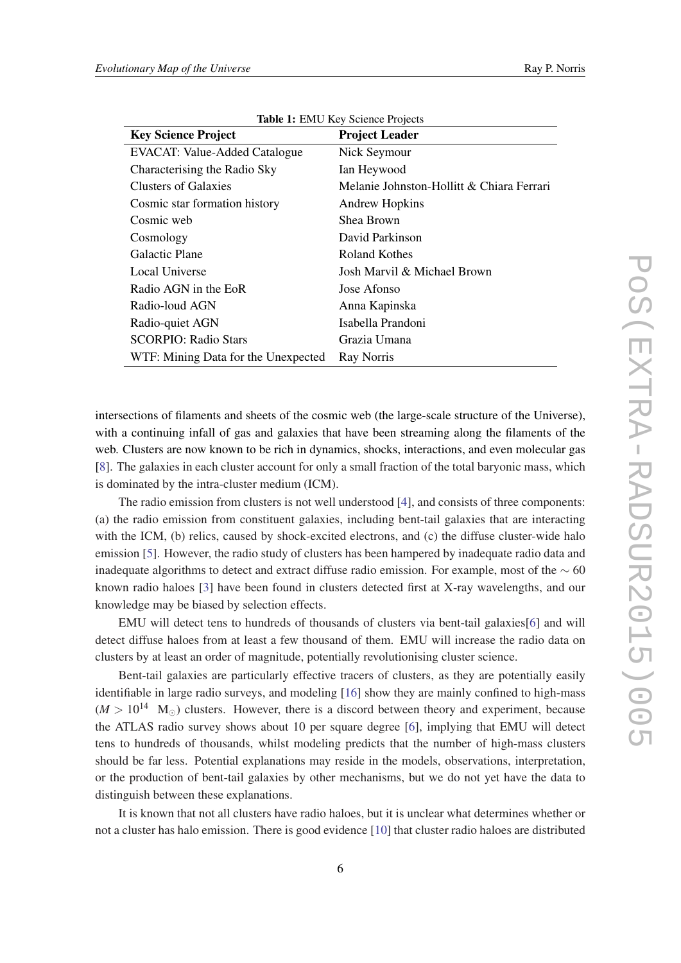| <b>Key Science Project</b>          | <b>Project Leader</b>                     |
|-------------------------------------|-------------------------------------------|
| EVACAT: Value-Added Catalogue       | Nick Seymour                              |
| Characterising the Radio Sky        | Ian Heywood                               |
| Clusters of Galaxies                | Melanie Johnston-Hollitt & Chiara Ferrari |
| Cosmic star formation history       | Andrew Hopkins                            |
| Cosmic web                          | Shea Brown                                |
| Cosmology                           | David Parkinson                           |
| Galactic Plane                      | Roland Kothes                             |
| Local Universe                      | Josh Marvil & Michael Brown               |
| Radio AGN in the EoR                | Jose Afonso                               |
| Radio-loud AGN                      | Anna Kapinska                             |
| Radio-quiet AGN                     | Isabella Prandoni                         |
| <b>SCORPIO: Radio Stars</b>         | Grazia Umana                              |
| WTF: Mining Data for the Unexpected | Ray Norris                                |

Table 1: EMU Key Science Projects

intersections of filaments and sheets of the cosmic web (the large-scale structure of the Universe), with a continuing infall of gas and galaxies that have been streaming along the filaments of the web. Clusters are now known to be rich in dynamics, shocks, interactions, and even molecular gas [[8](#page-0-0)]. The galaxies in each cluster account for only a small fraction of the total baryonic mass, which is dominated by the intra-cluster medium (ICM).

The radio emission from clusters is not well understood [[4](#page-0-0)], and consists of three components: (a) the radio emission from constituent galaxies, including bent-tail galaxies that are interacting with the ICM, (b) relics, caused by shock-excited electrons, and (c) the diffuse cluster-wide halo emission [\[5\]](#page-0-0). However, the radio study of clusters has been hampered by inadequate radio data and inadequate algorithms to detect and extract diffuse radio emission. For example, most of the  $\sim$  60 known radio haloes [[3\]](#page-0-0) have been found in clusters detected first at X-ray wavelengths, and our knowledge may be biased by selection effects.

EMU will detect tens to hundreds of thousands of clusters via bent-tail galaxies[\[6\]](#page-0-0) and will detect diffuse haloes from at least a few thousand of them. EMU will increase the radio data on clusters by at least an order of magnitude, potentially revolutionising cluster science.

Bent-tail galaxies are particularly effective tracers of clusters, as they are potentially easily identifiable in large radio surveys, and modeling [\[16](#page-0-0)] show they are mainly confined to high-mass  $(M > 10^{14}$  M<sub>o</sub>) clusters. However, there is a discord between theory and experiment, because the ATLAS radio survey shows about 10 per square degree [\[6\]](#page-0-0), implying that EMU will detect tens to hundreds of thousands, whilst modeling predicts that the number of high-mass clusters should be far less. Potential explanations may reside in the models, observations, interpretation, or the production of bent-tail galaxies by other mechanisms, but we do not yet have the data to distinguish between these explanations.

It is known that not all clusters have radio haloes, but it is unclear what determines whether or not a cluster has halo emission. There is good evidence [[10](#page-0-0)] that cluster radio haloes are distributed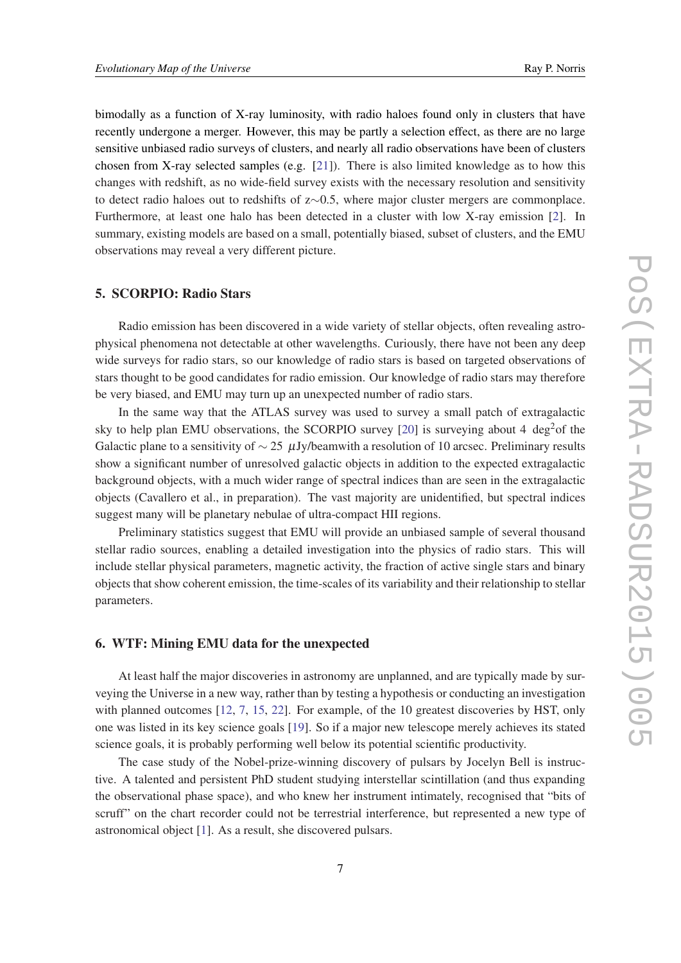bimodally as a function of X-ray luminosity, with radio haloes found only in clusters that have recently undergone a merger. However, this may be partly a selection effect, as there are no large sensitive unbiased radio surveys of clusters, and nearly all radio observations have been of clusters chosen from X-ray selected samples (e.g. [[21\]](#page-0-0)). There is also limited knowledge as to how this changes with redshift, as no wide-field survey exists with the necessary resolution and sensitivity to detect radio haloes out to redshifts of z∼0.5, where major cluster mergers are commonplace. Furthermore, at least one halo has been detected in a cluster with low X-ray emission [\[2\]](#page-0-0). In summary, existing models are based on a small, potentially biased, subset of clusters, and the EMU observations may reveal a very different picture.

### 5. SCORPIO: Radio Stars

Radio emission has been discovered in a wide variety of stellar objects, often revealing astrophysical phenomena not detectable at other wavelengths. Curiously, there have not been any deep wide surveys for radio stars, so our knowledge of radio stars is based on targeted observations of stars thought to be good candidates for radio emission. Our knowledge of radio stars may therefore be very biased, and EMU may turn up an unexpected number of radio stars.

In the same way that the ATLAS survey was used to survey a small patch of extragalactic sky to help plan EMU observations, the SCORPIO survey [\[20](#page-0-0)] is surveying about 4 deg<sup>2</sup>of the Galactic plane to a sensitivity of  $\sim$  25 µJy/beamwith a resolution of 10 arcsec. Preliminary results show a significant number of unresolved galactic objects in addition to the expected extragalactic background objects, with a much wider range of spectral indices than are seen in the extragalactic objects (Cavallero et al., in preparation). The vast majority are unidentified, but spectral indices suggest many will be planetary nebulae of ultra-compact HII regions.

Preliminary statistics suggest that EMU will provide an unbiased sample of several thousand stellar radio sources, enabling a detailed investigation into the physics of radio stars. This will include stellar physical parameters, magnetic activity, the fraction of active single stars and binary objects that show coherent emission, the time-scales of its variability and their relationship to stellar parameters.

## 6. WTF: Mining EMU data for the unexpected

At least half the major discoveries in astronomy are unplanned, and are typically made by surveying the Universe in a new way, rather than by testing a hypothesis or conducting an investigation with planned outcomes [\[12](#page-0-0), [7,](#page-0-0) [15,](#page-0-0) [22](#page-0-0)]. For example, of the 10 greatest discoveries by HST, only one was listed in its key science goals [\[19](#page-0-0)]. So if a major new telescope merely achieves its stated science goals, it is probably performing well below its potential scientific productivity.

The case study of the Nobel-prize-winning discovery of pulsars by Jocelyn Bell is instructive. A talented and persistent PhD student studying interstellar scintillation (and thus expanding the observational phase space), and who knew her instrument intimately, recognised that "bits of scruff" on the chart recorder could not be terrestrial interference, but represented a new type of astronomical object [\[1\]](#page-0-0). As a result, she discovered pulsars.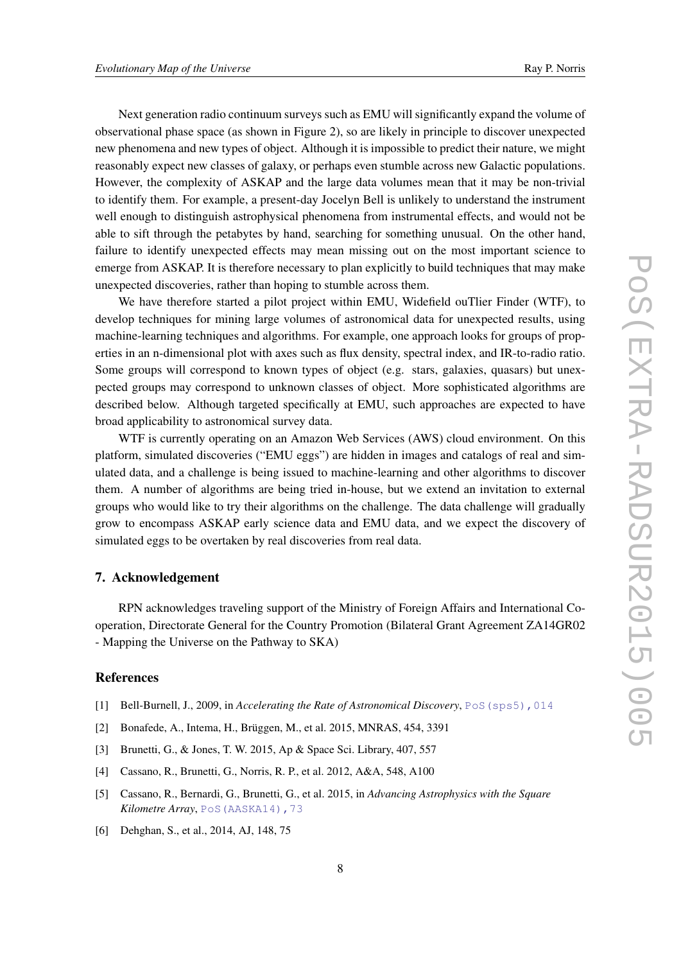Next generation radio continuum surveys such as EMU will significantly expand the volume of observational phase space (as shown in Figure 2), so are likely in principle to discover unexpected new phenomena and new types of object. Although it is impossible to predict their nature, we might reasonably expect new classes of galaxy, or perhaps even stumble across new Galactic populations. However, the complexity of ASKAP and the large data volumes mean that it may be non-trivial to identify them. For example, a present-day Jocelyn Bell is unlikely to understand the instrument well enough to distinguish astrophysical phenomena from instrumental effects, and would not be able to sift through the petabytes by hand, searching for something unusual. On the other hand, failure to identify unexpected effects may mean missing out on the most important science to emerge from ASKAP. It is therefore necessary to plan explicitly to build techniques that may make unexpected discoveries, rather than hoping to stumble across them.

We have therefore started a pilot project within EMU, Widefield ouTlier Finder (WTF), to develop techniques for mining large volumes of astronomical data for unexpected results, using machine-learning techniques and algorithms. For example, one approach looks for groups of properties in an n-dimensional plot with axes such as flux density, spectral index, and IR-to-radio ratio. Some groups will correspond to known types of object (e.g. stars, galaxies, quasars) but unexpected groups may correspond to unknown classes of object. More sophisticated algorithms are described below. Although targeted specifically at EMU, such approaches are expected to have broad applicability to astronomical survey data.

WTF is currently operating on an Amazon Web Services (AWS) cloud environment. On this platform, simulated discoveries ("EMU eggs") are hidden in images and catalogs of real and simulated data, and a challenge is being issued to machine-learning and other algorithms to discover them. A number of algorithms are being tried in-house, but we extend an invitation to external groups who would like to try their algorithms on the challenge. The data challenge will gradually grow to encompass ASKAP early science data and EMU data, and we expect the discovery of simulated eggs to be overtaken by real discoveries from real data.

#### 7. Acknowledgement

RPN acknowledges traveling support of the Ministry of Foreign Affairs and International Cooperation, Directorate General for the Country Promotion (Bilateral Grant Agreement ZA14GR02 - Mapping the Universe on the Pathway to SKA)

#### References

- [1] Bell-Burnell, J., 2009, in *Accelerating the Rate of Astronomical Discovery*, [PoS\(sps5\),014](http://pos.sissa.it/cgi-bin/reader/contribution.cgi?id=PoS(sps5),014)
- [2] Bonafede, A., Intema, H., Brüggen, M., et al. 2015, MNRAS, 454, 3391
- [3] Brunetti, G., & Jones, T. W. 2015, Ap & Space Sci. Library, 407, 557
- [4] Cassano, R., Brunetti, G., Norris, R. P., et al. 2012, A&A, 548, A100
- [5] Cassano, R., Bernardi, G., Brunetti, G., et al. 2015, in *Advancing Astrophysics with the Square Kilometre Array*, [PoS\(AASKA14\),73](http://pos.sissa.it/cgi-bin/reader/contribution.cgi?id=PoS(AASKA14),73)
- [6] Dehghan, S., et al., 2014, AJ, 148, 75